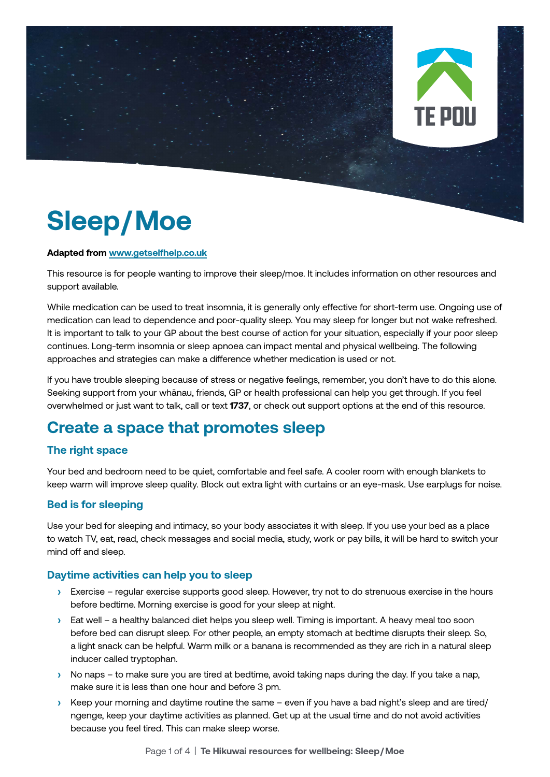

# **Sleep/Moe**

#### **Adapted from [www.getselfhelp.co.uk](http://www.getselfhelp.co.uk)**

This resource is for people wanting to improve their sleep/moe. It includes information on other resources and support available.

While medication can be used to treat insomnia, it is generally only effective for short-term use. Ongoing use of medication can lead to dependence and poor-quality sleep. You may sleep for longer but not wake refreshed. It is important to talk to your GP about the best course of action for your situation, especially if your poor sleep continues. Long-term insomnia or sleep apnoea can impact mental and physical wellbeing. The following approaches and strategies can make a difference whether medication is used or not.

If you have trouble sleeping because of stress or negative feelings, remember, you don't have to do this alone. Seeking support from your whānau, friends, GP or health professional can help you get through. If you feel overwhelmed or just want to talk, call or text **1737**, or check out support options at the end of this resource.

### **Create a space that promotes sleep**

#### **The right space**

Your bed and bedroom need to be quiet, comfortable and feel safe. A cooler room with enough blankets to keep warm will improve sleep quality. Block out extra light with curtains or an eye-mask. Use earplugs for noise.

#### **Bed is for sleeping**

Use your bed for sleeping and intimacy, so your body associates it with sleep. If you use your bed as a place to watch TV, eat, read, check messages and social media, study, work or pay bills, it will be hard to switch your mind off and sleep.

#### **Daytime activities can help you to sleep**

- **›** Exercise regular exercise supports good sleep. However, try not to do strenuous exercise in the hours before bedtime. Morning exercise is good for your sleep at night.
- **›** Eat well a healthy balanced diet helps you sleep well. Timing is important. A heavy meal too soon before bed can disrupt sleep. For other people, an empty stomach at bedtime disrupts their sleep. So, a light snack can be helpful. Warm milk or a banana is recommended as they are rich in a natural sleep inducer called tryptophan.
- **›** No naps to make sure you are tired at bedtime, avoid taking naps during the day. If you take a nap, make sure it is less than one hour and before 3 pm.
- **›** Keep your morning and daytime routine the same even if you have a bad night's sleep and are tired/ ngenge, keep your daytime activities as planned. Get up at the usual time and do not avoid activities because you feel tired. This can make sleep worse.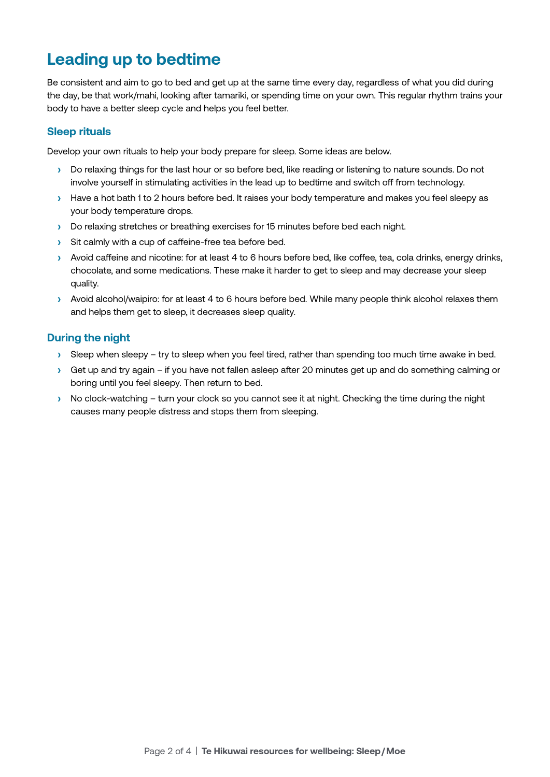### **Leading up to bedtime**

Be consistent and aim to go to bed and get up at the same time every day, regardless of what you did during the day, be that work/mahi, looking after tamariki, or spending time on your own. This regular rhythm trains your body to have a better sleep cycle and helps you feel better.

#### **Sleep rituals**

Develop your own rituals to help your body prepare for sleep. Some ideas are below.

- **›** Do relaxing things for the last hour or so before bed, like reading or listening to nature sounds. Do not involve yourself in stimulating activities in the lead up to bedtime and switch off from technology.
- **›** Have a hot bath 1 to 2 hours before bed. It raises your body temperature and makes you feel sleepy as your body temperature drops.
- **›** Do relaxing stretches or breathing exercises for 15 minutes before bed each night.
- **›** Sit calmly with a cup of caffeine-free tea before bed.
- **›** Avoid caffeine and nicotine: for at least 4 to 6 hours before bed, like coffee, tea, cola drinks, energy drinks, chocolate, and some medications. These make it harder to get to sleep and may decrease your sleep quality.
- **›** Avoid alcohol/waipiro: for at least 4 to 6 hours before bed. While many people think alcohol relaxes them and helps them get to sleep, it decreases sleep quality.

#### **During the night**

- **›** Sleep when sleepy try to sleep when you feel tired, rather than spending too much time awake in bed.
- **›** Get up and try again if you have not fallen asleep after 20 minutes get up and do something calming or boring until you feel sleepy. Then return to bed.
- **›** No clock-watching turn your clock so you cannot see it at night. Checking the time during the night causes many people distress and stops them from sleeping.